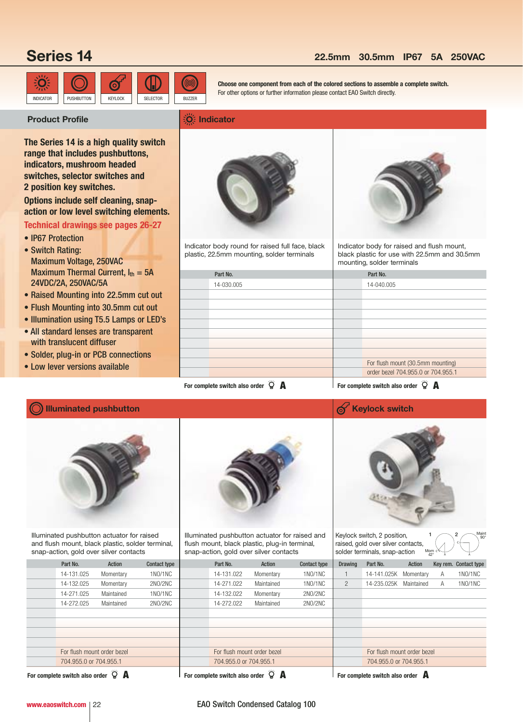# **Series 14**

## O INDICATOR PUSHBUTTON KEYLOCK SELECTOR BUZZER

## **22.5mm 30.5mm IP67 5A 250VAC**

**Indicator**

**Choose one component from each of the colored sections to assemble a complete switch.** For other options or further information please contact EAO Switch directly.

## **Product Profile**

**The Series 14 is a high quality switch range that includes pushbuttons, indicators, mushroom headed switches, selector switches and 2 position key switches.**

**Options include self cleaning, snapaction or low level switching elements.**

## **Technical drawings see pages 26-27**

- IP67 Protection
- Switch Rating: Maximum Voltage, 250VAC Maximum Thermal Current,  $I_{th} = 5A$ 24VDC/2A, 250VAC/5A
- Raised Mounting into 22.5mm cut out
- Flush Mounting into 30.5mm cut out
- Illumination using T5.5 Lamps or LED's
- All standard lenses are transparent with translucent diffuser
- Solder, plug-in or PCB connections

**Illuminated pushbutton**

• Low lever versions available



Indicator body round for raised full face, black plastic, 22.5mm mounting, solder terminals



Indicator body for raised and flush mount, black plastic for use with 22.5mm and 30.5mm mounting, solder terminals

| Part No.                                                                                                                                                                                                                             | Part No.                            |
|--------------------------------------------------------------------------------------------------------------------------------------------------------------------------------------------------------------------------------------|-------------------------------------|
| 14-030.005                                                                                                                                                                                                                           | 14-040.005                          |
|                                                                                                                                                                                                                                      |                                     |
|                                                                                                                                                                                                                                      |                                     |
|                                                                                                                                                                                                                                      |                                     |
|                                                                                                                                                                                                                                      |                                     |
|                                                                                                                                                                                                                                      |                                     |
|                                                                                                                                                                                                                                      |                                     |
|                                                                                                                                                                                                                                      |                                     |
|                                                                                                                                                                                                                                      | For flush mount (30.5mm mounting)   |
|                                                                                                                                                                                                                                      | order bezel 704,955.0 or 704,955.1  |
| <u>and the second with the second with the second with the second with the second with the second with the second with the second with the second with the second with the second with the second with the second with the secon</u> | <u>and the second second second</u> |

**For complete switch also order**  $\bigcirc$  **A A For complete switch also order**  $\bigcirc$  **A** 



Illuminated pushbutton actuator for raised and flush mount, black plastic, solder terminal, snap-action, gold over silver contacts



Illuminated pushbutton actuator for raised and flush mount, black plastic, plug-in terminal, snap-action, gold over silver contacts



Keylock switch, 2 position, raised, gold over silver contacts, solder terminals, snap-action

C C  $1 \bigcap 2 \bigcap_{n \geq 0}$ 90° Mom

| shap abuon, gola ovci silver contable |                             |            |                     | onap abubii, gola ovor oliver obritable |            |                     |                | soldor torrillique, singo abuon |            | $A2^{\circ}$ |                       |
|---------------------------------------|-----------------------------|------------|---------------------|-----------------------------------------|------------|---------------------|----------------|---------------------------------|------------|--------------|-----------------------|
|                                       | Part No.                    | Action     | <b>Contact type</b> | Part No.                                | Action     | <b>Contact type</b> | <b>Drawing</b> | Part No.                        | Action     |              | Key rem. Contact type |
|                                       | 14-131.025                  | Momentary  | 1NO/1NC             | 14-131.022                              | Momentary  | 1NO/1NC             |                | 14-141.025K Momentary           |            | A            | 1NO/1NC               |
|                                       | 14-132.025                  | Momentary  | 2NO/2NC             | 14-271.022                              | Maintained | 1NO/1NC             | $^{2}$         | 14-235.025K                     | Maintained | A            | 1NO/1NC               |
|                                       | 14-271.025                  | Maintained | 1NO/1NC             | 14-132.022                              | Momentary  | 2NO/2NC             |                |                                 |            |              |                       |
|                                       | 14-272.025                  | Maintained | 2NO/2NC             | 14-272.022                              | Maintained | 2NO/2NC             |                |                                 |            |              |                       |
|                                       |                             |            |                     |                                         |            |                     |                |                                 |            |              |                       |
|                                       |                             |            |                     |                                         |            |                     |                |                                 |            |              |                       |
|                                       |                             |            |                     |                                         |            |                     |                |                                 |            |              |                       |
|                                       |                             |            |                     |                                         |            |                     |                |                                 |            |              |                       |
|                                       | For flush mount order bezel |            |                     | For flush mount order bezel             |            |                     |                | For flush mount order bezel     |            |              |                       |
|                                       | 704.955.0 or 704.955.1      |            |                     | 704.955.0 or 704.955.1                  |            |                     |                | 704.955.0 or 704.955.1          |            |              |                       |
|                                       |                             |            |                     |                                         |            |                     |                |                                 |            |              |                       |

**For complete switch also order A**

**For complete switch also order**  $\ddot{Q}$  **A** 

**For complete switch also order A**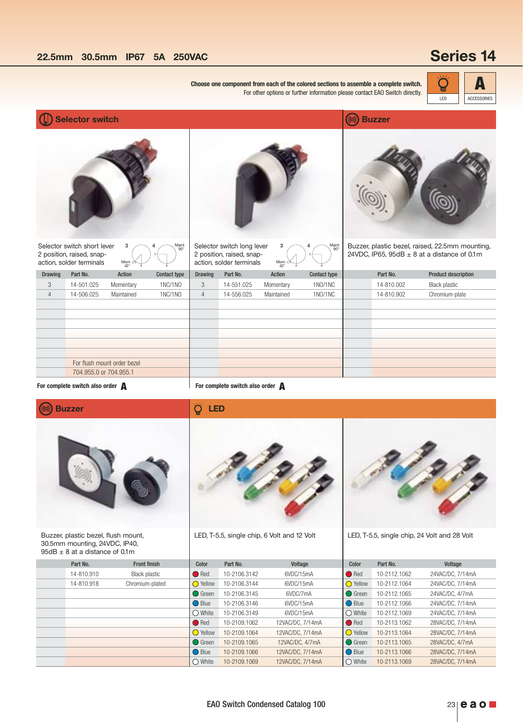# **Series 14**

| Choose one component from each of the colored sections to assemble a complete switch.<br>E<br>For other options or further information please contact EAO Switch directly.<br>LED |                                                                                      |                             |                     |                |                                                                                     |                        |                     |  |               | <b>ACCESSORIES</b>                                                                                 |  |
|-----------------------------------------------------------------------------------------------------------------------------------------------------------------------------------|--------------------------------------------------------------------------------------|-----------------------------|---------------------|----------------|-------------------------------------------------------------------------------------|------------------------|---------------------|--|---------------|----------------------------------------------------------------------------------------------------|--|
|                                                                                                                                                                                   | <b>Selector switch</b>                                                               |                             |                     |                |                                                                                     |                        |                     |  | <b>Buzzer</b> |                                                                                                    |  |
|                                                                                                                                                                                   |                                                                                      |                             |                     |                |                                                                                     |                        |                     |  |               |                                                                                                    |  |
|                                                                                                                                                                                   | Selector switch short lever<br>2 position, raised, snap-<br>action, solder terminals | 3<br>Mom<br>$42^\circ$      | Maint<br>90°        |                | Selector switch long lever<br>2 position, raised, snap-<br>action, solder terminals | 3<br>Mom<br>$42^\circ$ | Maint               |  |               | Buzzer, plastic bezel, raised, 22.5mm mounting,<br>24VDC, IP65, 95dB $\pm$ 8 at a distance of 0.1m |  |
| <b>Drawing</b>                                                                                                                                                                    | Part No.                                                                             | <b>Action</b>               | <b>Contact type</b> | <b>Drawing</b> | Part No.                                                                            | Action                 | <b>Contact type</b> |  | Part No.      | <b>Product description</b>                                                                         |  |
| 3                                                                                                                                                                                 | 14-501.025                                                                           | Momentary                   | 1NC/1NO             | 3              | 14-551.025                                                                          | Momentary              | 1NO/1NC             |  | 14-810.002    | <b>Black plastic</b>                                                                               |  |
| $\overline{4}$                                                                                                                                                                    | 14-506.025                                                                           | Maintained                  | 1NC/1NO             | $\overline{4}$ | 14-556.025                                                                          | Maintained             | 1NO/1NC             |  | 14-810.902    | Chromium-plate                                                                                     |  |
|                                                                                                                                                                                   |                                                                                      |                             |                     |                |                                                                                     |                        |                     |  |               |                                                                                                    |  |
|                                                                                                                                                                                   |                                                                                      |                             |                     |                |                                                                                     |                        |                     |  |               |                                                                                                    |  |
|                                                                                                                                                                                   |                                                                                      |                             |                     |                |                                                                                     |                        |                     |  |               |                                                                                                    |  |
|                                                                                                                                                                                   |                                                                                      |                             |                     |                |                                                                                     |                        |                     |  |               |                                                                                                    |  |
|                                                                                                                                                                                   |                                                                                      |                             |                     |                |                                                                                     |                        |                     |  |               |                                                                                                    |  |
|                                                                                                                                                                                   |                                                                                      | For flush mount order bezel |                     |                |                                                                                     |                        |                     |  |               |                                                                                                    |  |
|                                                                                                                                                                                   | 704.955.0 or 704.955.1                                                               |                             |                     |                |                                                                                     |                        |                     |  |               |                                                                                                    |  |

**For complete switch also order A For complete switch also order A**

**LED**

Ö



Buzzer, plastic bezel, flush mount, 30.5mm mounting, 24VDC, IP40,  $95dB \pm 8$  at a distance of 0.1m



LED, T-5.5, single chip, 6 Volt and 12 Volt



LED, T-5.5, single chip, 24 Volt and 28 Volt

| <u>ul u ulululluu ul u.liil</u> |                      |                  |              |                  |                  |              |                  |
|---------------------------------|----------------------|------------------|--------------|------------------|------------------|--------------|------------------|
| Part No.                        | <b>Front finish</b>  | Color            | Part No.     | Voltage          | Color            | Part No.     | Voltage          |
| 14-810.910                      | <b>Black plastic</b> | $\bigcirc$ Red   | 10-2106.3142 | 6VDC/15mA        | ● Red            | 10-2112.1062 | 24VAC/DC, 7/14mA |
| 14-810.918                      | Chromium-plated      | <b>O</b> Yellow  | 10-2106.3144 | 6VDC/15mA        | ◯ Yellow         | 10-2112.1064 | 24VAC/DC, 7/14mA |
|                                 |                      | ◯ Green          | 10-2106.3145 | 6VDC/7mA         | ◯ Green          | 10-2112.1065 | 24VAC/DC, 4/7mA  |
|                                 |                      | ◯ Blue           | 10-2106.3146 | 6VDC/15mA        | ◯ Blue           | 10-2112.1066 | 24VAC/DC, 7/14mA |
|                                 |                      | $\bigcirc$ White | 10-2106.3149 | 6VDC/15mA        | $\bigcirc$ White | 10-2112.1069 | 24VAC/DC, 7/14mA |
|                                 |                      | Red              | 10-2109.1062 | 12VAC/DC, 7/14mA | $\bigcirc$ Red   | 10-2113.1062 | 28VAC/DC, 7/14mA |
|                                 |                      | ◯ Yellow         | 10-2109.1064 | 12VAC/DC, 7/14mA | ◯ Yellow         | 10-2113.1064 | 28VAC/DC, 7/14mA |
|                                 |                      | ◯ Green          | 10-2109.1065 | 12VAC/DC, 4/7mA  | <b>Green</b>     | 10-2113.1065 | 28VAC/DC, 4/7mA  |
|                                 |                      | ◯ Blue           | 10-2109.1066 | 12VAC/DC, 7/14mA | ◯ Blue           | 10-2113.1066 | 28VAC/DC, 7/14mA |
|                                 |                      | $\bigcirc$ White | 10-2109.1069 | 12VAC/DC, 7/14mA | $\bigcirc$ White | 10-2113.1069 | 28VAC/DC, 7/14mA |
|                                 |                      |                  |              |                  |                  |              |                  |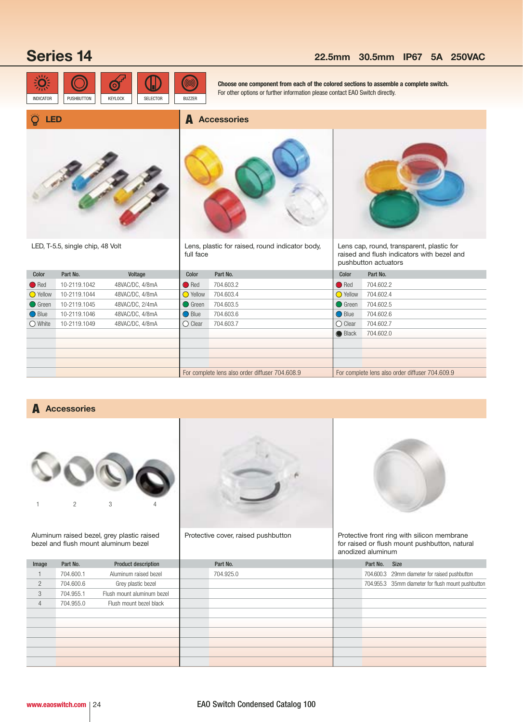## **Series 14 22.5mm 30.5mm IP67 5A 250VAC**



**Choose one component from each of the colored sections to assemble a complete switch.** For other options or further information please contact EAO Switch directly.

### Ő **LED**



LED, T-5.5, single chip, 48 Volt

**A Accessories**

Lens, plastic for raised, round indicator body, full face



Lens cap, round, transparent, plastic for raised and flush indicators with bezel and pushbutton actuators

| Color            | Part No.     | Voltage         | Color             | Part No.                                        | Color             | Part No.                                        |
|------------------|--------------|-----------------|-------------------|-------------------------------------------------|-------------------|-------------------------------------------------|
| $\bigcirc$ Red   | 10-2119.1042 | 48VAC/DC, 4/8mA | $\bigcirc$ Red    | 704.603.2                                       | $\bullet$ Red     | 704.602.2                                       |
| <b>O</b> Yellow  | 10-2119.1044 | 48VAC/DC, 4/8mA | $\bigcirc$ Yellow | 704.603.4                                       | $\bigcirc$ Yellow | 704.602.4                                       |
| <b>●</b> Green   | 10-2119.1045 | 48VAC/DC, 2/4mA | <b>O</b> Green    | 704.603.5                                       | <b>O</b> Green    | 704.602.5                                       |
| ◯ Blue           | 10-2119.1046 | 48VAC/DC, 4/8mA | $\bigcirc$ Blue   | 704.603.6                                       | ◯ Blue            | 704.602.6                                       |
| $\bigcirc$ White | 10-2119.1049 | 48VAC/DC, 4/8mA | $\bigcirc$ Clear  | 704.603.7                                       | $\bigcirc$ Clear  | 704.602.7                                       |
|                  |              |                 |                   |                                                 | <b>Black</b>      | 704.602.0                                       |
|                  |              |                 |                   |                                                 |                   |                                                 |
|                  |              |                 |                   |                                                 |                   |                                                 |
|                  |              |                 |                   |                                                 |                   |                                                 |
|                  |              |                 |                   | For complete lens also order diffuser 704.608.9 |                   | For complete lens also order diffuser 704.609.9 |

## **A Accessories**



Aluminum raised bezel, grey plastic raised bezel and flush mount aluminum bezel



Protective cover, raised pushbutton



Protective front ring with silicon membrane for raised or flush mount pushbutton, natural anodized aluminum

| Image          | Part No.  | <b>Product description</b> | Part No.  |  | Part No. Size |                                                    |
|----------------|-----------|----------------------------|-----------|--|---------------|----------------------------------------------------|
|                | 704.600.1 | Aluminum raised bezel      | 704.925.0 |  |               | 704.600.3 29mm diameter for raised pushbutton      |
| $\overline{2}$ | 704.600.6 | Grey plastic bezel         |           |  |               | 704.955.3 35mm diameter for flush mount pushbutton |
| 3              | 704.955.1 | Flush mount aluminum bezel |           |  |               |                                                    |
| 4              | 704.955.0 | Flush mount bezel black    |           |  |               |                                                    |
|                |           |                            |           |  |               |                                                    |
|                |           |                            |           |  |               |                                                    |
|                |           |                            |           |  |               |                                                    |
|                |           |                            |           |  |               |                                                    |
|                |           |                            |           |  |               |                                                    |
|                |           |                            |           |  |               |                                                    |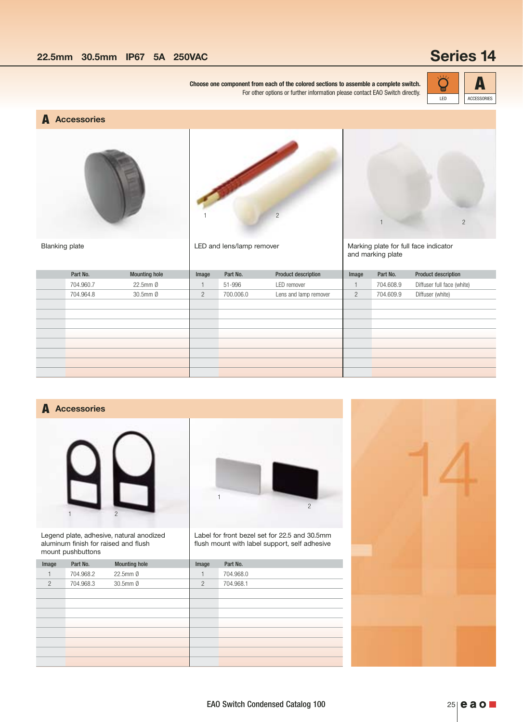**Choose one component from each of the colored sections to assemble a complete switch.**  $\overrightarrow{Q}$ For other options or further information please contact EAO Switch directly.



**A Accessories**





1 2

LED and lens/lamp remover



Marking plate for full face indicator and marking plate

| Part No.  | <b>Mounting hole</b>  | Image          | Part No.  | <b>Product description</b> | Image          | Part No.  | <b>Product description</b> |
|-----------|-----------------------|----------------|-----------|----------------------------|----------------|-----------|----------------------------|
| 704.960.7 | 22.5mm Ø              |                | 51-996    | LED remover                |                | 704.608.9 | Diffuser full face (white) |
| 704.964.8 | $30.5$ mm $\emptyset$ | $\overline{2}$ | 700.006.0 | Lens and lamp remover      | $\overline{2}$ | 704.609.9 | Diffuser (white)           |
|           |                       |                |           |                            |                |           |                            |
|           |                       |                |           |                            |                |           |                            |
|           |                       |                |           |                            |                |           |                            |
|           |                       |                |           |                            |                |           |                            |
|           |                       |                |           |                            |                |           |                            |
|           |                       |                |           |                            |                |           |                            |
|           |                       |                |           |                            |                |           |                            |
|           |                       |                |           |                            |                |           |                            |

## **Accessories A**



Legend plate, adhesive, natural anodized aluminum finish for raised and flush mount pushbuttons



Label for front bezel set for 22.5 and 30.5mm flush mount with label support, self adhesive

| Image          | Part No.  | <b>Mounting hole</b> | Image          | Part No.  |
|----------------|-----------|----------------------|----------------|-----------|
|                | 704.968.2 | 22.5mm Ø             |                | 704.968.0 |
| $\overline{2}$ | 704.968.3 | 30.5mm Ø             | $\overline{2}$ | 704.968.1 |
|                |           |                      |                |           |
|                |           |                      |                |           |
|                |           |                      |                |           |
|                |           |                      |                |           |
|                |           |                      |                |           |
|                |           |                      |                |           |
|                |           |                      |                |           |
|                |           |                      |                |           |

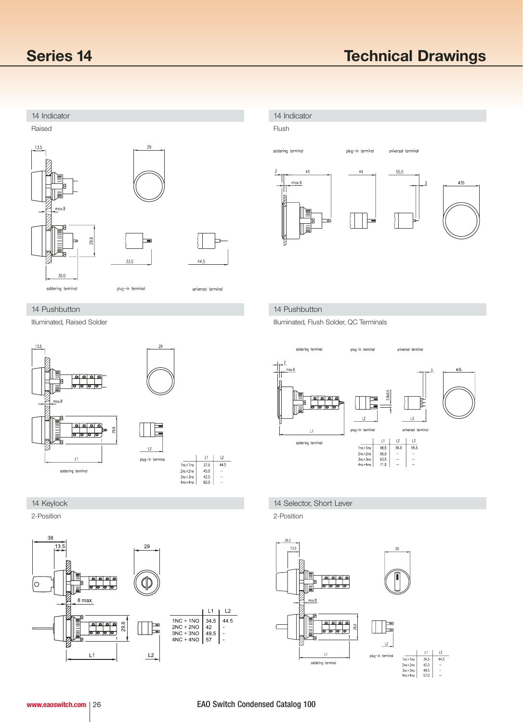

## Flush soldering terminal plug-in terminal universal termina  $41$ 44  $55.5$  $max.6$  $\phi$ 35 R

Illuminated, Flush Solder, QC Terminals



## **14 Keylock** 14 Selector, Short Lever

2-Position 2-Position



### 14 Pushbutton 14 Pushbutton

Illuminated, Raised Solder